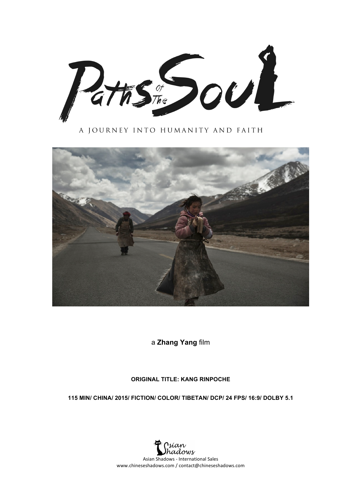Paths the DOUL

A JOURNEY INTO HUMANITY AND FAITH



a **Zhang Yang** film

#### **ORIGINAL TITLE: KANG RINPOCHE**

**115 MIN/ CHINA/ 2015/ FICTION/ COLOR/ TIBETAN/ DCP/ 24 FPS/ 16:9/ DOLBY 5.1**

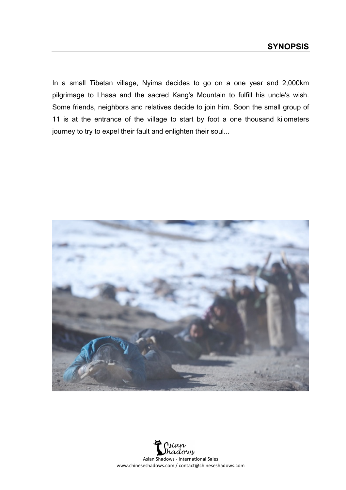In a small Tibetan village, Nyima decides to go on a one year and 2,000km pilgrimage to Lhasa and the sacred Kang's Mountain to fulfill his uncle's wish. Some friends, neighbors and relatives decide to join him. Soon the small group of 11 is at the entrance of the village to start by foot a one thousand kilometers journey to try to expel their fault and enlighten their soul...



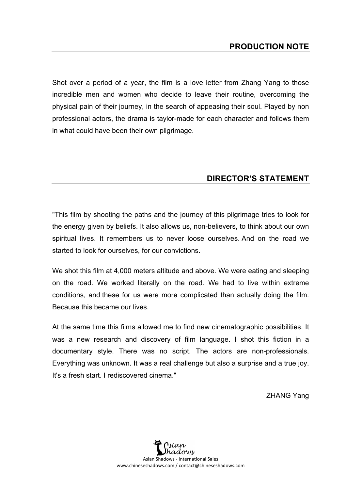Shot over a period of a year, the film is a love letter from Zhang Yang to those incredible men and women who decide to leave their routine, overcoming the physical pain of their journey, in the search of appeasing their soul. Played by non professional actors, the drama is taylor-made for each character and follows them in what could have been their own pilgrimage.

## **DIRECTOR'S STATEMENT**

"This film by shooting the paths and the journey of this pilgrimage tries to look for the energy given by beliefs. It also allows us, non-believers, to think about our own spiritual lives. It remembers us to never loose ourselves. And on the road we started to look for ourselves, for our convictions.

We shot this film at 4,000 meters altitude and above. We were eating and sleeping on the road. We worked literally on the road. We had to live within extreme conditions, and these for us were more complicated than actually doing the film. Because this became our lives.

At the same time this films allowed me to find new cinematographic possibilities. It was a new research and discovery of film language. I shot this fiction in a documentary style. There was no script. The actors are non-professionals. Everything was unknown. It was a real challenge but also a surprise and a true joy. It's a fresh start. I rediscovered cinema."

ZHANG Yang

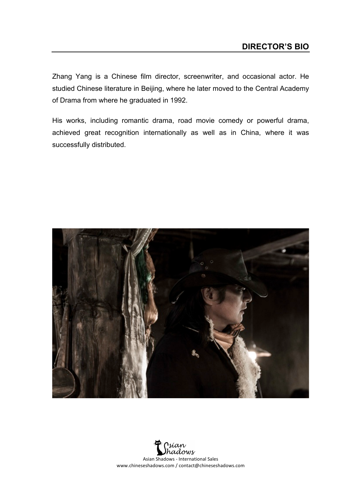Zhang Yang is a Chinese film director, screenwriter, and occasional actor. He studied Chinese literature in Beijing, where he later moved to the Central Academy of Drama from where he graduated in 1992.

His works, including romantic drama, road movie comedy or powerful drama, achieved great recognition internationally as well as in China, where it was successfully distributed.



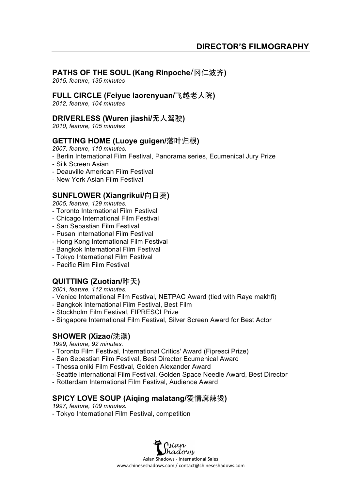## **PATHS OF THE SOUL (Kang Rinpoche**/冈仁波齐**)**

*2015, feature, 135 minutes*

### **FULL CIRCLE (Feiyue laorenyuan/**飞越老人院**)**

*2012, feature, 104 minutes*

### **DRIVERLESS (Wuren jiashi/**无人驾驶**)**

*2010, feature, 105 minutes*

### **GETTING HOME (Luoye guigen/**落叶归根**)**

*2007, feature, 110 minutes.*

- Berlin International Film Festival, Panorama series, Ecumenical Jury Prize
- Silk Screen Asian
- Deauville American Film Festival
- New York Asian Film Festival

### **SUNFLOWER (Xiangrikui/**向日葵**)**

*2005, feature, 129 minutes.*

- Toronto International Film Festival
- Chicago International Film Festival
- San Sebastian Film Festival
- Pusan International Film Festival
- Hong Kong International Film Festival
- Bangkok International Film Festival
- Tokyo International Film Festival
- Pacific Rim Film Festival

# **QUITTING (Zuotian/**昨天**)**

*2001, feature, 112 minutes.*

- Venice International Film Festival, NETPAC Award (tied with Raye makhfi)
- Bangkok International Film Festival, Best Film
- Stockholm Film Festival, FIPRESCI Prize
- Singapore International Film Festival, Silver Screen Award for Best Actor

### **SHOWER (Xizao/**洗澡**)**

*1999, feature, 92 minutes.*

- Toronto Film Festival, International Critics' Award (Fipresci Prize)
- San Sebastian Film Festival, Best Director Ecumenical Award
- Thessaloniki Film Festival, Golden Alexander Award
- Seattle International Film Festival, Golden Space Needle Award, Best Director
- Rotterdam International Film Festival, Audience Award

### **SPICY LOVE SOUP (Aiqing malatang/**爱情麻辣烫**)**

*1997, feature, 109 minutes.*

- Tokyo International Film Festival, competition